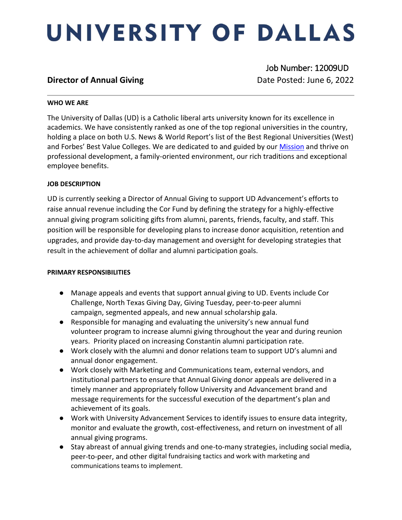# UNIVERSITY OF DALLAS

### **Director of Annual Giving**  Date Posted: June 6, 2022

Job Number: 12009UD

### **WHO WE ARE**

The University of Dallas (UD) is a Catholic liberal arts university known for its excellence in academics. We have consistently ranked as one of the top regional universities in the country, holding a place on both U.S. News & World Report's list of the Best Regional Universities (West) and Forbes' Best Value Colleges. We are dedicated to and guided by our [Mission](https://www.udallas.edu/about/mission.php) and thrive on professional development, a family-oriented environment, our rich traditions and exceptional employee benefits.

### **JOB DESCRIPTION**

UD is currently seeking a Director of Annual Giving to support UD Advancement's efforts to raise annual revenue including the Cor Fund by defining the strategy for a highly-effective annual giving program soliciting gifts from alumni, parents, friends, faculty, and staff. This position will be responsible for developing plans to increase donor acquisition, retention and upgrades, and provide day-to-day management and oversight for developing strategies that result in the achievement of dollar and alumni participation goals.

### **PRIMARY RESPONSIBILITIES**

- Manage appeals and events that support annual giving to UD. Events include Cor Challenge, North Texas Giving Day, Giving Tuesday, peer-to-peer alumni campaign, segmented appeals, and new annual scholarship gala.
- Responsible for managing and evaluating the university's new annual fund volunteer program to increase alumni giving throughout the year and during reunion years. Priority placed on increasing Constantin alumni participation rate.
- Work closely with the alumni and donor relations team to support UD's alumni and annual donor engagement.
- Work closely with Marketing and Communications team, external vendors, and institutional partners to ensure that Annual Giving donor appeals are delivered in a timely manner and appropriately follow University and Advancement brand and message requirements for the successful execution of the department's plan and achievement of its goals.
- Work with University Advancement Services to identify issues to ensure data integrity, monitor and evaluate the growth, cost-effectiveness, and return on investment of all annual giving programs.
- Stay abreast of annual giving trends and one-to-many strategies, including social media, peer-to-peer, and other digital fundraising tactics and work with marketing and communications teams to implement.